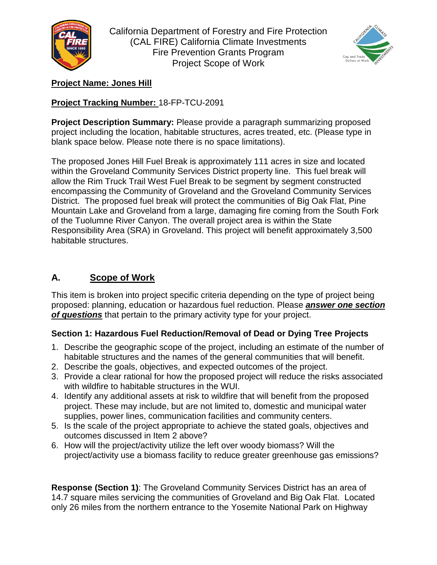

California Department of Forestry and Fire Protection (CAL FIRE) California Climate Investments Fire Prevention Grants Program Project Scope of Work



### **Project Name: Jones Hill**

## **Project Tracking Number:** 18-FP-TCU-2091

**Project Description Summary:** Please provide a paragraph summarizing proposed project including the location, habitable structures, acres treated, etc. (Please type in blank space below. Please note there is no space limitations).

The proposed Jones Hill Fuel Break is approximately 111 acres in size and located within the Groveland Community Services District property line. This fuel break will allow the Rim Truck Trail West Fuel Break to be segment by segment constructed encompassing the Community of Groveland and the Groveland Community Services District. The proposed fuel break will protect the communities of Big Oak Flat, Pine Mountain Lake and Groveland from a large, damaging fire coming from the South Fork of the Tuolumne River Canyon. The overall project area is within the State Responsibility Area (SRA) in Groveland. This project will benefit approximately 3,500 habitable structures.

# **A. Scope of Work**

This item is broken into project specific criteria depending on the type of project being proposed: planning, education or hazardous fuel reduction. Please *answer one section of questions* that pertain to the primary activity type for your project.

## **Section 1: Hazardous Fuel Reduction/Removal of Dead or Dying Tree Projects**

- 1. Describe the geographic scope of the project, including an estimate of the number of habitable structures and the names of the general communities that will benefit.
- 2. Describe the goals, objectives, and expected outcomes of the project.
- 3. Provide a clear rational for how the proposed project will reduce the risks associated with wildfire to habitable structures in the WUI.
- 4. Identify any additional assets at risk to wildfire that will benefit from the proposed project. These may include, but are not limited to, domestic and municipal water supplies, power lines, communication facilities and community centers.
- 5. Is the scale of the project appropriate to achieve the stated goals, objectives and outcomes discussed in Item 2 above?
- 6. How will the project/activity utilize the left over woody biomass? Will the project/activity use a biomass facility to reduce greater greenhouse gas emissions?

**Response (Section 1)**: The Groveland Community Services District has an area of 14.7 square miles servicing the communities of Groveland and Big Oak Flat. Located only 26 miles from the northern entrance to the Yosemite National Park on Highway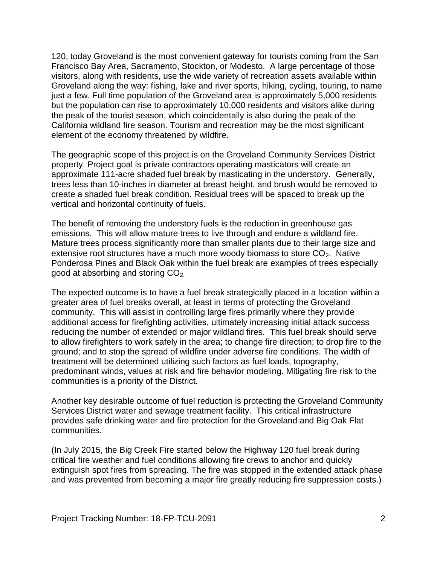120, today Groveland is the most convenient gateway for tourists coming from the San Francisco Bay Area, Sacramento, Stockton, or Modesto. A large percentage of those visitors, along with residents, use the wide variety of recreation assets available within Groveland along the way: fishing, lake and river sports, hiking, cycling, touring, to name just a few. Full time population of the Groveland area is approximately 5,000 residents but the population can rise to approximately 10,000 residents and visitors alike during the peak of the tourist season, which coincidentally is also during the peak of the California wildland fire season. Tourism and recreation may be the most significant element of the economy threatened by wildfire.

The geographic scope of this project is on the Groveland Community Services District property. Project goal is private contractors operating masticators will create an approximate 111-acre shaded fuel break by masticating in the understory. Generally, trees less than 10-inches in diameter at breast height, and brush would be removed to create a shaded fuel break condition. Residual trees will be spaced to break up the vertical and horizontal continuity of fuels.

The benefit of removing the understory fuels is the reduction in greenhouse gas emissions. This will allow mature trees to live through and endure a wildland fire. Mature trees process significantly more than smaller plants due to their large size and extensive root structures have a much more woody biomass to store  $CO<sub>2</sub>$ . Native Ponderosa Pines and Black Oak within the fuel break are examples of trees especially good at absorbing and storing  $CO<sub>2</sub>$ .

The expected outcome is to have a fuel break strategically placed in a location within a greater area of fuel breaks overall, at least in terms of protecting the Groveland community. This will assist in controlling large fires primarily where they provide additional access for firefighting activities, ultimately increasing initial attack success reducing the number of extended or major wildland fires. This fuel break should serve to allow firefighters to work safely in the area; to change fire direction; to drop fire to the ground; and to stop the spread of wildfire under adverse fire conditions. The width of treatment will be determined utilizing such factors as fuel loads, topography, predominant winds, values at risk and fire behavior modeling. Mitigating fire risk to the communities is a priority of the District.

Another key desirable outcome of fuel reduction is protecting the Groveland Community Services District water and sewage treatment facility. This critical infrastructure provides safe drinking water and fire protection for the Groveland and Big Oak Flat communities.

(In July 2015, the Big Creek Fire started below the Highway 120 fuel break during critical fire weather and fuel conditions allowing fire crews to anchor and quickly extinguish spot fires from spreading. The fire was stopped in the extended attack phase and was prevented from becoming a major fire greatly reducing fire suppression costs.)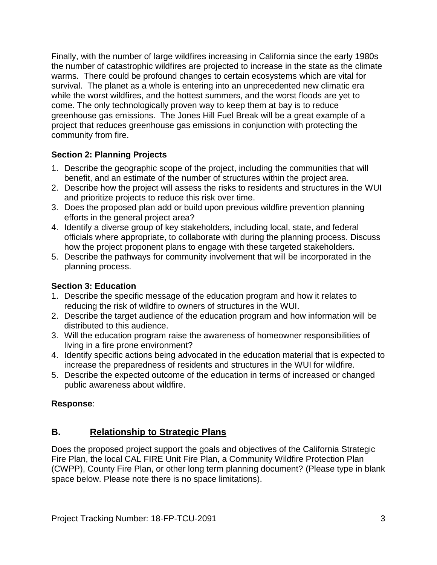Finally, with the number of large wildfires increasing in California since the early 1980s the number of catastrophic wildfires are [projected to increase i](https://science2017.globalchange.gov/chapter/8/)n the state as the climate warms. There could be profound changes to certain ecosystems which are vital for survival. The planet as a whole is entering into an unprecedented new climatic era while the worst wildfires, and the hottest summers, and the worst floods are yet to come. The only technologically proven way to keep them at bay is to reduce greenhouse gas emissions. The Jones Hill Fuel Break will be a great example of a project that reduces greenhouse gas emissions in conjunction with protecting the community from fire.

## **Section 2: Planning Projects**

- 1. Describe the geographic scope of the project, including the communities that will benefit, and an estimate of the number of structures within the project area.
- 2. Describe how the project will assess the risks to residents and structures in the WUI and prioritize projects to reduce this risk over time.
- 3. Does the proposed plan add or build upon previous wildfire prevention planning efforts in the general project area?
- 4. Identify a diverse group of key stakeholders, including local, state, and federal officials where appropriate, to collaborate with during the planning process. Discuss how the project proponent plans to engage with these targeted stakeholders.
- 5. Describe the pathways for community involvement that will be incorporated in the planning process.

### **Section 3: Education**

- 1. Describe the specific message of the education program and how it relates to reducing the risk of wildfire to owners of structures in the WUI.
- 2. Describe the target audience of the education program and how information will be distributed to this audience.
- 3. Will the education program raise the awareness of homeowner responsibilities of living in a fire prone environment?
- 4. Identify specific actions being advocated in the education material that is expected to increase the preparedness of residents and structures in the WUI for wildfire.
- 5. Describe the expected outcome of the education in terms of increased or changed public awareness about wildfire.

### **Response**:

## **B. Relationship to Strategic Plans**

Does the proposed project support the goals and objectives of the California Strategic Fire Plan, the local CAL FIRE Unit Fire Plan, a Community Wildfire Protection Plan (CWPP), County Fire Plan, or other long term planning document? (Please type in blank space below. Please note there is no space limitations).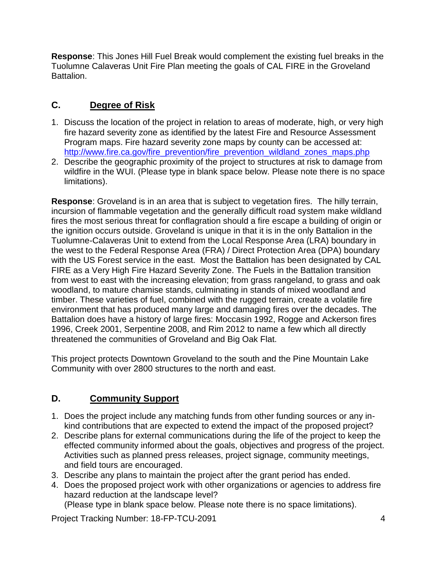**Response**: This Jones Hill Fuel Break would complement the existing fuel breaks in the Tuolumne Calaveras Unit Fire Plan meeting the goals of CAL FIRE in the Groveland Battalion.

# **C. Degree of Risk**

- 1. Discuss the location of the project in relation to areas of moderate, high, or very high fire hazard severity zone as identified by the latest Fire and Resource Assessment Program maps. Fire hazard severity zone maps by county can be accessed at: [http://www.fire.ca.gov/fire\\_prevention/fire\\_prevention\\_wildland\\_zones\\_maps.php](http://www.fire.ca.gov/fire_prevention/fire_prevention_wildland_zones_maps.php)
- 2. Describe the geographic proximity of the project to structures at risk to damage from wildfire in the WUI. (Please type in blank space below. Please note there is no space limitations).

**Response**: Groveland is in an area that is subject to vegetation fires. The hilly terrain, incursion of flammable vegetation and the generally difficult road system make wildland fires the most serious threat for conflagration should a fire escape a building of origin or the ignition occurs outside. Groveland is unique in that it is in the only Battalion in the Tuolumne-Calaveras Unit to extend from the Local Response Area (LRA) boundary in the west to the Federal Response Area (FRA) / Direct Protection Area (DPA) boundary with the US Forest service in the east. Most the Battalion has been designated by CAL FIRE as a Very High Fire Hazard Severity Zone. The Fuels in the Battalion transition from west to east with the increasing elevation; from grass rangeland, to grass and oak woodland, to mature chamise stands, culminating in stands of mixed woodland and timber. These varieties of fuel, combined with the rugged terrain, create a volatile fire environment that has produced many large and damaging fires over the decades. The Battalion does have a history of large fires: Moccasin 1992, Rogge and Ackerson fires 1996, Creek 2001, Serpentine 2008, and Rim 2012 to name a few which all directly threatened the communities of Groveland and Big Oak Flat.

This project protects Downtown Groveland to the south and the Pine Mountain Lake Community with over 2800 structures to the north and east.

# **D. Community Support**

- 1. Does the project include any matching funds from other funding sources or any inkind contributions that are expected to extend the impact of the proposed project?
- 2. Describe plans for external communications during the life of the project to keep the effected community informed about the goals, objectives and progress of the project. Activities such as planned press releases, project signage, community meetings, and field tours are encouraged.
- 3. Describe any plans to maintain the project after the grant period has ended.
- 4. Does the proposed project work with other organizations or agencies to address fire hazard reduction at the landscape level?

(Please type in blank space below. Please note there is no space limitations).

Project Tracking Number: 18-FP-TCU-2091 4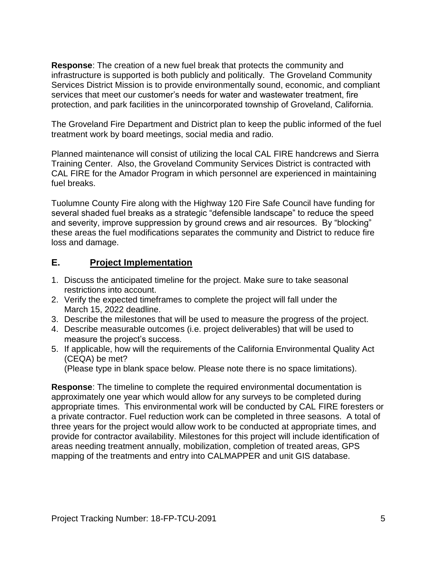**Response**: The creation of a new fuel break that protects the community and infrastructure is supported is both publicly and politically. The Groveland Community Services District Mission is to provide environmentally sound, economic, and compliant services that meet our customer's needs for water and wastewater treatment, fire protection, and park facilities in the unincorporated township of Groveland, California.

The Groveland Fire Department and District plan to keep the public informed of the fuel treatment work by board meetings, social media and radio.

Planned maintenance will consist of utilizing the local CAL FIRE handcrews and Sierra Training Center. Also, the Groveland Community Services District is contracted with CAL FIRE for the Amador Program in which personnel are experienced in maintaining fuel breaks.

Tuolumne County Fire along with the Highway 120 Fire Safe Council have funding for several shaded fuel breaks as a strategic "defensible landscape" to reduce the speed and severity, improve suppression by ground crews and air resources. By "blocking" these areas the fuel modifications separates the community and District to reduce fire loss and damage.

#### **E. Project Implementation**

- 1. Discuss the anticipated timeline for the project. Make sure to take seasonal restrictions into account.
- 2. Verify the expected timeframes to complete the project will fall under the March 15, 2022 deadline.
- 3. Describe the milestones that will be used to measure the progress of the project.
- 4. Describe measurable outcomes (i.e. project deliverables) that will be used to measure the project's success.
- 5. If applicable, how will the requirements of the California Environmental Quality Act (CEQA) be met?

(Please type in blank space below. Please note there is no space limitations).

**Response**: The timeline to complete the required environmental documentation is approximately one year which would allow for any surveys to be completed during appropriate times. This environmental work will be conducted by CAL FIRE foresters or a private contractor. Fuel reduction work can be completed in three seasons. A total of three years for the project would allow work to be conducted at appropriate times, and provide for contractor availability. Milestones for this project will include identification of areas needing treatment annually, mobilization, completion of treated areas, GPS mapping of the treatments and entry into CALMAPPER and unit GIS database.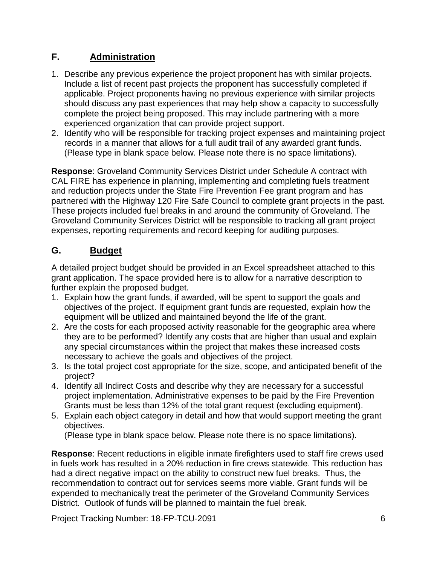## **F. Administration**

- 1. Describe any previous experience the project proponent has with similar projects. Include a list of recent past projects the proponent has successfully completed if applicable. Project proponents having no previous experience with similar projects should discuss any past experiences that may help show a capacity to successfully complete the project being proposed. This may include partnering with a more experienced organization that can provide project support.
- 2. Identify who will be responsible for tracking project expenses and maintaining project records in a manner that allows for a full audit trail of any awarded grant funds. (Please type in blank space below. Please note there is no space limitations).

**Response**: Groveland Community Services District under Schedule A contract with CAL FIRE has experience in planning, implementing and completing fuels treatment and reduction projects under the State Fire Prevention Fee grant program and has partnered with the Highway 120 Fire Safe Council to complete grant projects in the past. These projects included fuel breaks in and around the community of Groveland. The Groveland Community Services District will be responsible to tracking all grant project expenses, reporting requirements and record keeping for auditing purposes.

# **G. Budget**

A detailed project budget should be provided in an Excel spreadsheet attached to this grant application. The space provided here is to allow for a narrative description to further explain the proposed budget.

- 1. Explain how the grant funds, if awarded, will be spent to support the goals and objectives of the project. If equipment grant funds are requested, explain how the equipment will be utilized and maintained beyond the life of the grant.
- 2. Are the costs for each proposed activity reasonable for the geographic area where they are to be performed? Identify any costs that are higher than usual and explain any special circumstances within the project that makes these increased costs necessary to achieve the goals and objectives of the project.
- 3. Is the total project cost appropriate for the size, scope, and anticipated benefit of the project?
- 4. Identify all Indirect Costs and describe why they are necessary for a successful project implementation. Administrative expenses to be paid by the Fire Prevention Grants must be less than 12% of the total grant request (excluding equipment).
- 5. Explain each object category in detail and how that would support meeting the grant objectives.

(Please type in blank space below. Please note there is no space limitations).

**Response**: Recent reductions in eligible inmate firefighters used to staff fire crews used in fuels work has resulted in a 20% reduction in fire crews statewide. This reduction has had a direct negative impact on the ability to construct new fuel breaks. Thus, the recommendation to contract out for services seems more viable. Grant funds will be expended to mechanically treat the perimeter of the Groveland Community Services District. Outlook of funds will be planned to maintain the fuel break.

Project Tracking Number: 18-FP-TCU-2091 6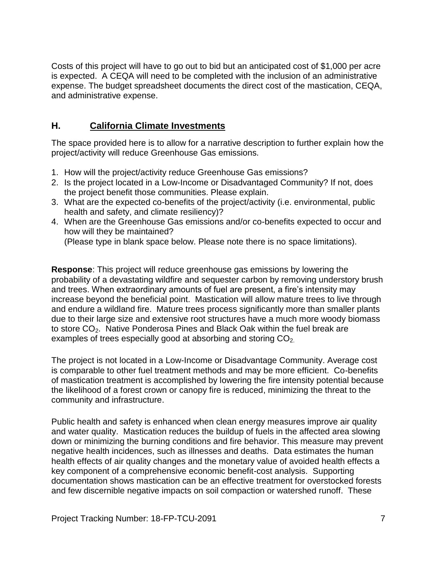Costs of this project will have to go out to bid but an anticipated cost of \$1,000 per acre is expected. A CEQA will need to be completed with the inclusion of an administrative expense. The budget spreadsheet documents the direct cost of the mastication, CEQA, and administrative expense.

#### **H. California Climate Investments**

The space provided here is to allow for a narrative description to further explain how the project/activity will reduce Greenhouse Gas emissions.

- 1. How will the project/activity reduce Greenhouse Gas emissions?
- 2. Is the project located in a Low-Income or Disadvantaged Community? If not, does the project benefit those communities. Please explain.
- 3. What are the expected co-benefits of the project/activity (i.e. environmental, public health and safety, and climate resiliency)?
- 4. When are the Greenhouse Gas emissions and/or co-benefits expected to occur and how will they be maintained?

(Please type in blank space below. Please note there is no space limitations).

**Response**: This project will reduce greenhouse gas emissions by lowering the probability of a devastating wildfire and sequester carbon by removing understory brush and trees. When extraordinary amounts of fuel are present, a fire's intensity may increase beyond the beneficial point. Mastication will allow mature trees to live through and endure a wildland fire. Mature trees process significantly more than smaller plants due to their large size and extensive root structures have a much more woody biomass to store CO<sub>2</sub>. Native Ponderosa Pines and Black Oak within the fuel break are examples of trees especially good at absorbing and storing  $CO<sub>2</sub>$ .

The project is not located in a Low-Income or Disadvantage Community. Average cost is comparable to other fuel treatment methods and may be more efficient. Co-benefits of mastication treatment is accomplished by lowering the fire intensity potential because the likelihood of a forest crown or canopy fire is reduced, minimizing the threat to the community and infrastructure.

Public health and safety is enhanced when clean energy measures improve air quality and water quality. Mastication reduces the buildup of fuels in the affected area slowing down or minimizing the burning conditions and fire behavior. This measure may prevent negative health incidences, such as illnesses and deaths. Data estimates the human health effects of air quality changes and the monetary value of avoided health effects a key component of a comprehensive economic benefit-cost analysis. Supporting documentation shows mastication can be an effective treatment for overstocked forests and few discernible negative impacts on soil compaction or watershed runoff. These